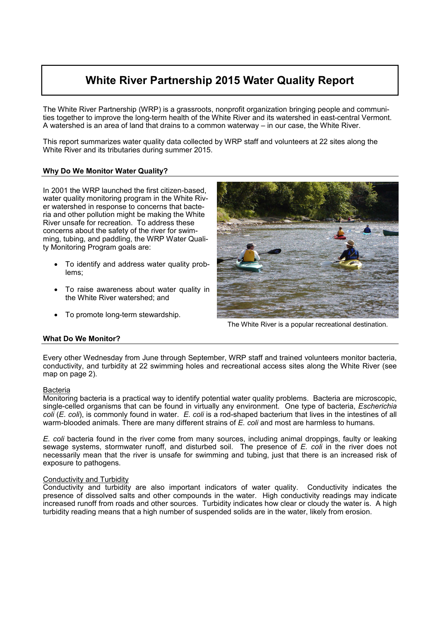# **White River Partnership 2015 Water Quality Report**

The White River Partnership (WRP) is a grassroots, nonprofit organization bringing people and communities together to improve the long-term health of the White River and its watershed in east-central Vermont. A watershed is an area of land that drains to a common waterway – in our case, the White River.

This report summarizes water quality data collected by WRP staff and volunteers at 22 sites along the White River and its tributaries during summer 2015.

## **Why Do We Monitor Water Quality?**

In 2001 the WRP launched the first citizen-based, water quality monitoring program in the White River watershed in response to concerns that bacteria and other pollution might be making the White River unsafe for recreation. To address these concerns about the safety of the river for swimming, tubing, and paddling, the WRP Water Quality Monitoring Program goals are:

- To identify and address water quality problems;
- To raise awareness about water quality in the White River watershed; and
- To promote long-term stewardship.



The White River is a popular recreational destination.

## **What Do We Monitor?**

Every other Wednesday from June through September, WRP staff and trained volunteers monitor bacteria, conductivity, and turbidity at 22 swimming holes and recreational access sites along the White River (see map on page 2).

## Bacteria

Monitoring bacteria is a practical way to identify potential water quality problems. Bacteria are microscopic, single-celled organisms that can be found in virtually any environment. One type of bacteria, *Escherichia coli* (*E. coli*), is commonly found in water. *E. coli* is a rod-shaped bacterium that lives in the intestines of all warm-blooded animals. There are many different strains of *E. coli* and most are harmless to humans.

*E. coli* bacteria found in the river come from many sources, including animal droppings, faulty or leaking sewage systems, stormwater runoff, and disturbed soil. The presence of *E. coli* in the river does not necessarily mean that the river is unsafe for swimming and tubing, just that there is an increased risk of exposure to pathogens.

## Conductivity and Turbidity

Conductivity and turbidity are also important indicators of water quality. Conductivity indicates the presence of dissolved salts and other compounds in the water. High conductivity readings may indicate increased runoff from roads and other sources. Turbidity indicates how clear or cloudy the water is. A high turbidity reading means that a high number of suspended solids are in the water, likely from erosion.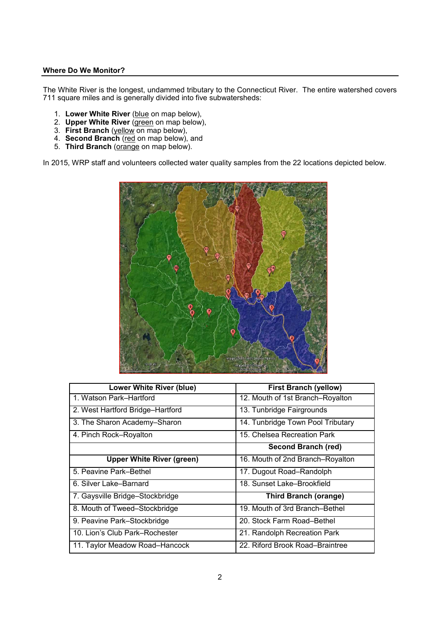## **Where Do We Monitor?**

The White River is the longest, undammed tributary to the Connecticut River. The entire watershed covers 711 square miles and is generally divided into five subwatersheds:

- 1. **Lower White River** (blue on map below),
- 2. **Upper White River** (green on map below),
- 3. **First Branch** (yellow on map below),
- 4. **Second Branch** (red on map below), and
- 5. **Third Branch** (orange on map below).

In 2015, WRP staff and volunteers collected water quality samples from the 22 locations depicted below.



| <b>Lower White River (blue)</b>  | <b>First Branch (yellow)</b>      |  |  |
|----------------------------------|-----------------------------------|--|--|
| 1. Watson Park-Hartford          | 12. Mouth of 1st Branch-Royalton  |  |  |
| 2. West Hartford Bridge-Hartford | 13. Tunbridge Fairgrounds         |  |  |
| 3. The Sharon Academy-Sharon     | 14. Tunbridge Town Pool Tributary |  |  |
| 4. Pinch Rock-Royalton           | 15. Chelsea Recreation Park       |  |  |
|                                  | <b>Second Branch (red)</b>        |  |  |
| <b>Upper White River (green)</b> | 16. Mouth of 2nd Branch–Royalton  |  |  |
| 5. Peavine Park-Bethel           | 17. Dugout Road-Randolph          |  |  |
| 6. Silver Lake–Barnard           | 18. Sunset Lake-Brookfield        |  |  |
| 7. Gaysville Bridge-Stockbridge  | <b>Third Branch (orange)</b>      |  |  |
| 8. Mouth of Tweed–Stockbridge    | 19. Mouth of 3rd Branch-Bethel    |  |  |
| 9. Peavine Park-Stockbridge      | 20. Stock Farm Road-Bethel        |  |  |
| 10. Lion's Club Park-Rochester   | 21. Randolph Recreation Park      |  |  |
| 11. Taylor Meadow Road–Hancock   | 22. Riford Brook Road-Braintree   |  |  |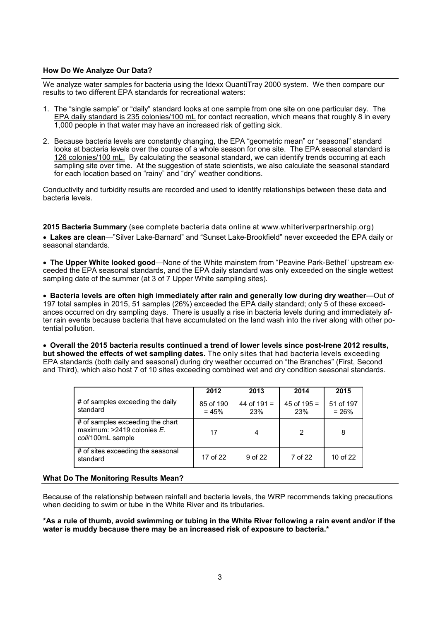## **How Do We Analyze Our Data?**

We analyze water samples for bacteria using the Idexx QuantiTray 2000 system. We then compare our results to two different EPA standards for recreational waters:

- 1. The "single sample" or "daily" standard looks at one sample from one site on one particular day. The EPA daily standard is 235 colonies/100 mL for contact recreation, which means that roughly 8 in every 1,000 people in that water may have an increased risk of getting sick.
- 2. Because bacteria levels are constantly changing, the EPA "geometric mean" or "seasonal" standard looks at bacteria levels over the course of a whole season for one site. The EPA seasonal standard is 126 colonies/100 mL. By calculating the seasonal standard, we can identify trends occurring at each sampling site over time. At the suggestion of state scientists, we also calculate the seasonal standard for each location based on "rainy" and "dry" weather conditions.

Conductivity and turbidity results are recorded and used to identify relationships between these data and bacteria levels.

#### **2015 Bacteria Summary** (see complete bacteria data online at www.whiteriverpartnership.org)

• **Lakes are clean**—"Silver Lake-Barnard" and "Sunset Lake-Brookfield" never exceeded the EPA daily or seasonal standards.

• **The Upper White looked good**—None of the White mainstem from "Peavine Park-Bethel" upstream exceeded the EPA seasonal standards, and the EPA daily standard was only exceeded on the single wettest sampling date of the summer (at 3 of 7 Upper White sampling sites).

• **Bacteria levels are often high immediately after rain and generally low during dry weather**—Out of 197 total samples in 2015, 51 samples (26%) exceeded the EPA daily standard; only 5 of these exceedances occurred on dry sampling days. There is usually a rise in bacteria levels during and immediately after rain events because bacteria that have accumulated on the land wash into the river along with other potential pollution.

• **Overall the 2015 bacteria results continued a trend of lower levels since post-Irene 2012 results, but showed the effects of wet sampling dates.** The only sites that had bacteria levels exceeding EPA standards (both daily and seasonal) during dry weather occurred on "the Branches" (First, Second and Third), which also host 7 of 10 sites exceeding combined wet and dry condition seasonal standards.

|                                                                                       | 2012                 | 2013                 | 2014                 | 2015                 |
|---------------------------------------------------------------------------------------|----------------------|----------------------|----------------------|----------------------|
| # of samples exceeding the daily<br>standard                                          | 85 of 190<br>$= 45%$ | 44 of $191 =$<br>23% | 45 of $195 =$<br>23% | 51 of 197<br>$= 26%$ |
| # of samples exceeding the chart<br>maximum: $>2419$ colonies E.<br>coli/100mL sample | 17                   | 4                    | 2                    | 8                    |
| # of sites exceeding the seasonal<br>standard                                         | 17 of 22             | 9 of 22              | 7 of 22              | 10 of 22             |

#### **What Do The Monitoring Results Mean?**

Because of the relationship between rainfall and bacteria levels, the WRP recommends taking precautions when deciding to swim or tube in the White River and its tributaries.

**\*As a rule of thumb, avoid swimming or tubing in the White River following a rain event and/or if the water is muddy because there may be an increased risk of exposure to bacteria.\***